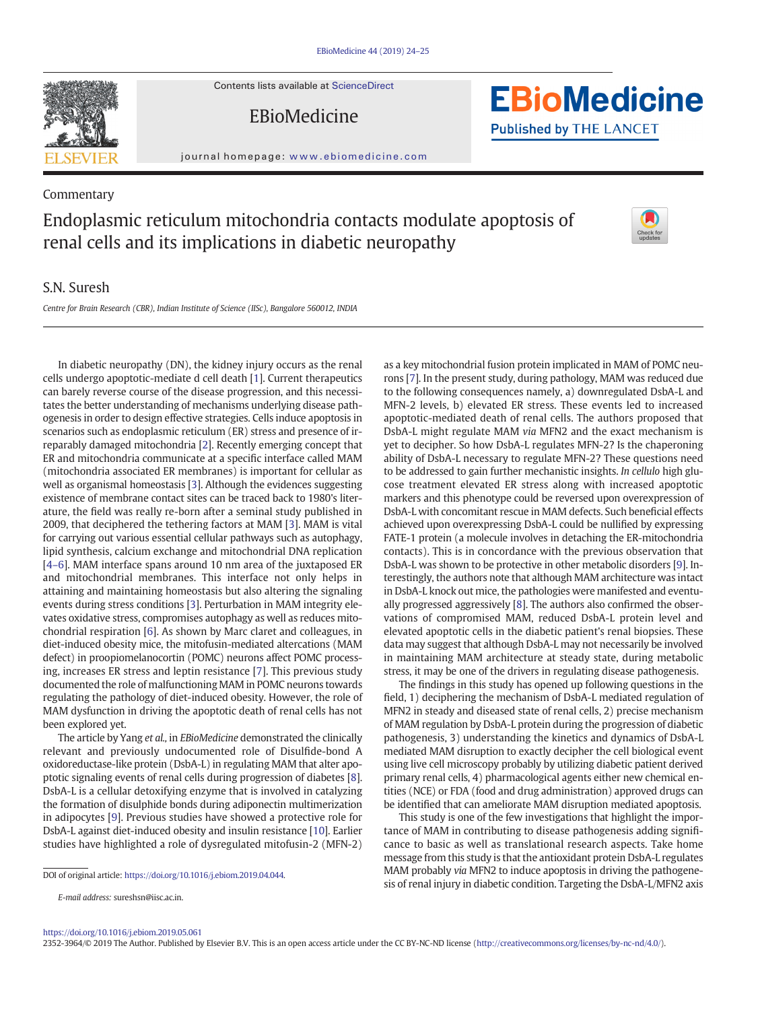

EBioMedicine



journal homepage: <www.ebiomedicine.com>

## Commentary Endoplasmic reticulum mitochondria contacts modulate apoptosis of renal cells and its implications in diabetic neuropathy

## S.N. Suresh

Centre for Brain Research (CBR), Indian Institute of Science (IISc), Bangalore 560012, INDIA

In diabetic neuropathy (DN), the kidney injury occurs as the renal cells undergo apoptotic-mediate d cell death [\[1\]](#page-1-0). Current therapeutics can barely reverse course of the disease progression, and this necessitates the better understanding of mechanisms underlying disease pathogenesis in order to design effective strategies. Cells induce apoptosis in scenarios such as endoplasmic reticulum (ER) stress and presence of irreparably damaged mitochondria [\[2\]](#page-1-0). Recently emerging concept that ER and mitochondria communicate at a specific interface called MAM (mitochondria associated ER membranes) is important for cellular as well as organismal homeostasis [\[3\]](#page-1-0). Although the evidences suggesting existence of membrane contact sites can be traced back to 1980's literature, the field was really re-born after a seminal study published in 2009, that deciphered the tethering factors at MAM [\[3\]](#page-1-0). MAM is vital for carrying out various essential cellular pathways such as autophagy, lipid synthesis, calcium exchange and mitochondrial DNA replication [4[–](#page-1-0)6]. MAM interface spans around 10 nm area of the juxtaposed ER and mitochondrial membranes. This interface not only helps in attaining and maintaining homeostasis but also altering the signaling events during stress conditions [\[3\]](#page-1-0). Perturbation in MAM integrity elevates oxidative stress, compromises autophagy as well as reduces mitochondrial respiration [[6](#page-1-0)]. As shown by Marc claret and colleagues, in diet-induced obesity mice, the mitofusin-mediated altercations (MAM defect) in proopiomelanocortin (POMC) neurons affect POMC processing, increases ER stress and leptin resistance [[7](#page-1-0)]. This previous study documented the role of malfunctioning MAM in POMC neurons towards regulating the pathology of diet-induced obesity. However, the role of MAM dysfunction in driving the apoptotic death of renal cells has not been explored yet.

The article by Yang et al., in EBioMedicine demonstrated the clinically relevant and previously undocumented role of Disulfide-bond A oxidoreductase-like protein (DsbA-L) in regulating MAM that alter apoptotic signaling events of renal cells during progression of diabetes [[8](#page-1-0)]. DsbA-L is a cellular detoxifying enzyme that is involved in catalyzing the formation of disulphide bonds during adiponectin multimerization in adipocytes [[9](#page-1-0)]. Previous studies have showed a protective role for DsbA-L against diet-induced obesity and insulin resistance [\[10\]](#page-1-0). Earlier studies have highlighted a role of dysregulated mitofusin-2 (MFN-2)

DOI of original article: https://doi.org/[10.1016/j.ebiom.2019.04.044.](https://doi.org/10.1016/j.ebiom.2019.04.044)

as a key mitochondrial fusion protein implicated in MAM of POMC neurons [\[7](#page-1-0)]. In the present study, during pathology, MAM was reduced due to the following consequences namely, a) downregulated DsbA-L and MFN-2 levels, b) elevated ER stress. These events led to increased apoptotic-mediated death of renal cells. The authors proposed that DsbA-L might regulate MAM via MFN2 and the exact mechanism is yet to decipher. So how DsbA-L regulates MFN-2? Is the chaperoning ability of DsbA-L necessary to regulate MFN-2? These questions need to be addressed to gain further mechanistic insights. In cellulo high glucose treatment elevated ER stress along with increased apoptotic markers and this phenotype could be reversed upon overexpression of DsbA-L with concomitant rescue in MAM defects. Such beneficial effects achieved upon overexpressing DsbA-L could be nullified by expressing FATE-1 protein (a molecule involves in detaching the ER-mitochondria contacts). This is in concordance with the previous observation that DsbA-L was shown to be protective in other metabolic disorders [[9](#page-1-0)]. Interestingly, the authors note that although MAM architecture was intact in DsbA-L knock out mice, the pathologies were manifested and eventually progressed aggressively [\[8](#page-1-0)]. The authors also confirmed the observations of compromised MAM, reduced DsbA-L protein level and elevated apoptotic cells in the diabetic patient's renal biopsies. These data may suggest that although DsbA-L may not necessarily be involved in maintaining MAM architecture at steady state, during metabolic stress, it may be one of the drivers in regulating disease pathogenesis.

The findings in this study has opened up following questions in the field, 1) deciphering the mechanism of DsbA-L mediated regulation of MFN2 in steady and diseased state of renal cells, 2) precise mechanism of MAM regulation by DsbA-L protein during the progression of diabetic pathogenesis, 3) understanding the kinetics and dynamics of DsbA-L mediated MAM disruption to exactly decipher the cell biological event using live cell microscopy probably by utilizing diabetic patient derived primary renal cells, 4) pharmacological agents either new chemical entities (NCE) or FDA (food and drug administration) approved drugs can be identified that can ameliorate MAM disruption mediated apoptosis.

This study is one of the few investigations that highlight the importance of MAM in contributing to disease pathogenesis adding significance to basic as well as translational research aspects. Take home message from this study is that the antioxidant protein DsbA-L regulates MAM probably via MFN2 to induce apoptosis in driving the pathogenesis of renal injury in diabetic condition. Targeting the DsbA-L/MFN2 axis

2352-3964/© 2019 The Author. Published by Elsevier B.V. This is an open access article under the CC BY-NC-ND license (<http://creativecommons.org/licenses/by-nc-nd/4.0/>).



E-mail address: sureshsn@iisc.ac.in.